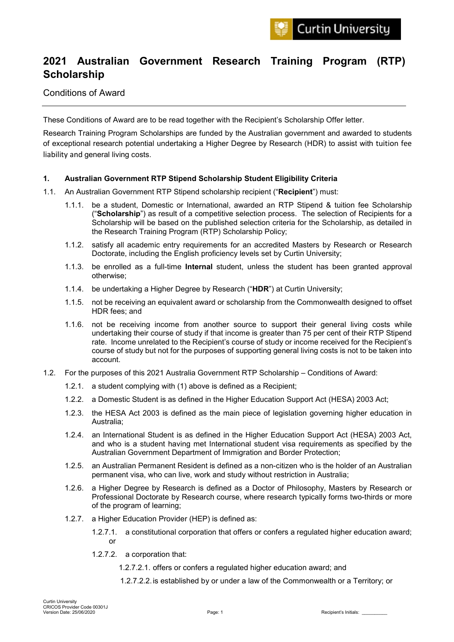# **2021 Australian Government Research Training Program (RTP) Scholarship**

## Conditions of Award

These Conditions of Award are to be read together with the Recipient's Scholarship Offer letter.

Research Training Program Scholarships are funded by the Australian government and awarded to students of exceptional research potential undertaking a Higher Degree by Research (HDR) to assist with tuition fee liability and general living costs.

## **1. Australian Government RTP Stipend Scholarship Student Eligibility Criteria**

- 1.1. An Australian Government RTP Stipend scholarship recipient ("**Recipient**") must:
	- 1.1.1. be a student, Domestic or International, awarded an RTP Stipend & tuition fee Scholarship ("**Scholarship**") as result of a competitive selection process. The selection of Recipients for a Scholarship will be based on the published selection criteria for the Scholarship, as detailed in the Research Training Program (RTP) Scholarship Policy;
	- 1.1.2. satisfy all academic entry requirements for an accredited Masters by Research or Research Doctorate, including the English proficiency levels set by Curtin University;
	- 1.1.3. be enrolled as a full-time **Internal** student, unless the student has been granted approval otherwise;
	- 1.1.4. be undertaking a Higher Degree by Research ("**HDR**") at Curtin University;
	- 1.1.5. not be receiving an equivalent award or scholarship from the Commonwealth designed to offset HDR fees; and
	- 1.1.6. not be receiving income from another source to support their general living costs while undertaking their course of study if that income is greater than 75 per cent of their RTP Stipend rate. Income unrelated to the Recipient's course of study or income received for the Recipient's course of study but not for the purposes of supporting general living costs is not to be taken into account.
- 1.2. For the purposes of this 2021 Australia Government RTP Scholarship Conditions of Award:
	- 1.2.1. a student complying with (1) above is defined as a Recipient;
	- 1.2.2. a Domestic Student is as defined in the Higher Education Support Act (HESA) 2003 Act;
	- 1.2.3. the HESA Act 2003 is defined as the main piece of legislation governing higher education in Australia;
	- 1.2.4. an International Student is as defined in the Higher Education Support Act (HESA) 2003 Act, and who is a student having met International student visa requirements as specified by the Australian Government Department of Immigration and Border Protection;
	- 1.2.5. an Australian Permanent Resident is defined as a non-citizen who is the holder of an Australian permanent visa, who can live, work and study without restriction in Australia;
	- 1.2.6. a Higher Degree by Research is defined as a Doctor of Philosophy, Masters by Research or Professional Doctorate by Research course, where research typically forms two-thirds or more of the program of learning;
	- 1.2.7. a Higher Education Provider (HEP) is defined as:
		- 1.2.7.1. a constitutional corporation that offers or confers a regulated higher education award; or
		- 1.2.7.2. a corporation that:
			- 1.2.7.2.1. offers or confers a regulated higher education award; and
			- 1.2.7.2.2.is established by or under a law of the Commonwealth or a Territory; or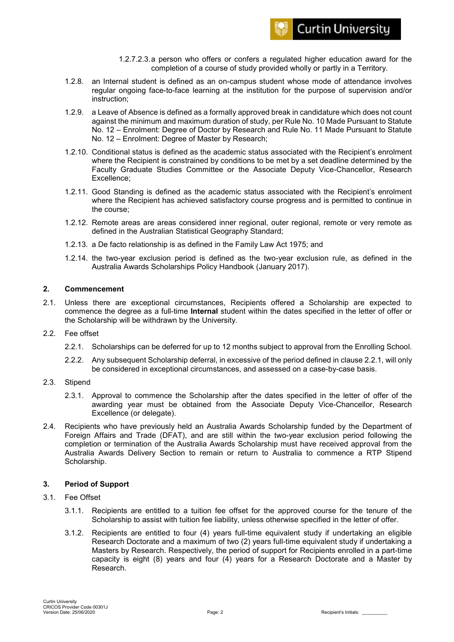

- 1.2.7.2.3.a person who offers or confers a regulated higher education award for the completion of a course of study provided wholly or partly in a Territory.
- 1.2.8. an Internal student is defined as an on-campus student whose mode of attendance involves regular ongoing face-to-face learning at the institution for the purpose of supervision and/or instruction;
- 1.2.9. a Leave of Absence is defined as a formally approved break in candidature which does not count against the minimum and maximum duration of study, per Rule No. 10 Made Pursuant to Statute No. 12 – Enrolment: Degree of Doctor by Research and Rule No. 11 Made Pursuant to Statute No. 12 – Enrolment: Degree of Master by Research;
- 1.2.10. Conditional status is defined as the academic status associated with the Recipient's enrolment where the Recipient is constrained by conditions to be met by a set deadline determined by the Faculty Graduate Studies Committee or the Associate Deputy Vice-Chancellor, Research Excellence;
- 1.2.11. Good Standing is defined as the academic status associated with the Recipient's enrolment where the Recipient has achieved satisfactory course progress and is permitted to continue in the course;
- 1.2.12. Remote areas are areas considered inner regional, outer regional, remote or very remote as defined in the Australian Statistical Geography Standard;
- 1.2.13. a De facto relationship is as defined in the Family Law Act 1975; and
- 1.2.14. the two-year exclusion period is defined as the two-year exclusion rule, as defined in the Australia Awards Scholarships Policy Handbook (January 2017).

## **2. Commencement**

- 2.1. Unless there are exceptional circumstances, Recipients offered a Scholarship are expected to commence the degree as a full-time **Internal** student within the dates specified in the letter of offer or the Scholarship will be withdrawn by the University.
- 2.2. Fee offset
	- 2.2.1. Scholarships can be deferred for up to 12 months subject to approval from the Enrolling School.
	- 2.2.2. Any subsequent Scholarship deferral, in excessive of the period defined in clause 2.2.1, will only be considered in exceptional circumstances, and assessed on a case-by-case basis.
- 2.3. Stipend
	- 2.3.1. Approval to commence the Scholarship after the dates specified in the letter of offer of the awarding year must be obtained from the Associate Deputy Vice-Chancellor, Research Excellence (or delegate).
- 2.4. Recipients who have previously held an Australia Awards Scholarship funded by the Department of Foreign Affairs and Trade (DFAT), and are still within the two-year exclusion period following the completion or termination of the Australia Awards Scholarship must have received approval from the Australia Awards Delivery Section to remain or return to Australia to commence a RTP Stipend Scholarship.

## **3. Period of Support**

- 3.1. Fee Offset
	- 3.1.1. Recipients are entitled to a tuition fee offset for the approved course for the tenure of the Scholarship to assist with tuition fee liability, unless otherwise specified in the letter of offer.
	- 3.1.2. Recipients are entitled to four (4) years full-time equivalent study if undertaking an eligible Research Doctorate and a maximum of two (2) years full-time equivalent study if undertaking a Masters by Research. Respectively, the period of support for Recipients enrolled in a part-time capacity is eight (8) years and four (4) years for a Research Doctorate and a Master by Research.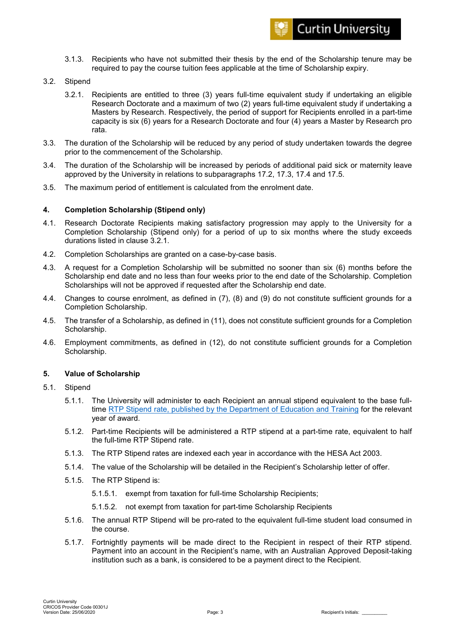

- 3.1.3. Recipients who have not submitted their thesis by the end of the Scholarship tenure may be required to pay the course tuition fees applicable at the time of Scholarship expiry.
- 3.2. Stipend
	- 3.2.1. Recipients are entitled to three (3) years full-time equivalent study if undertaking an eligible Research Doctorate and a maximum of two (2) years full-time equivalent study if undertaking a Masters by Research. Respectively, the period of support for Recipients enrolled in a part-time capacity is six (6) years for a Research Doctorate and four (4) years a Master by Research pro rata.
- 3.3. The duration of the Scholarship will be reduced by any period of study undertaken towards the degree prior to the commencement of the Scholarship.
- 3.4. The duration of the Scholarship will be increased by periods of additional paid sick or maternity leave approved by the University in relations to subparagraphs 17.2, 17.3, 17.4 and 17.5.
- 3.5. The maximum period of entitlement is calculated from the enrolment date.

## **4. Completion Scholarship (Stipend only)**

- 4.1. Research Doctorate Recipients making satisfactory progression may apply to the University for a Completion Scholarship (Stipend only) for a period of up to six months where the study exceeds durations listed in clause 3.2.1.
- 4.2. Completion Scholarships are granted on a case-by-case basis.
- 4.3. A request for a Completion Scholarship will be submitted no sooner than six (6) months before the Scholarship end date and no less than four weeks prior to the end date of the Scholarship. Completion Scholarships will not be approved if requested after the Scholarship end date.
- 4.4. Changes to course enrolment, as defined in (7), (8) and (9) do not constitute sufficient grounds for a Completion Scholarship.
- 4.5. The transfer of a Scholarship, as defined in (11), does not constitute sufficient grounds for a Completion Scholarship.
- 4.6. Employment commitments, as defined in (12), do not constitute sufficient grounds for a Completion Scholarship.

#### **5. Value of Scholarship**

- 5.1. Stipend
	- 5.1.1. The University will administer to each Recipient an annual stipend equivalent to the base fulltime [RTP Stipend rate, published by the Department of Education and Training](https://www.education.gov.au/research-training-program) for the relevant year of award.
	- 5.1.2. Part-time Recipients will be administered a RTP stipend at a part-time rate, equivalent to half the full-time RTP Stipend rate.
	- 5.1.3. The RTP Stipend rates are indexed each year in accordance with the HESA Act 2003.
	- 5.1.4. The value of the Scholarship will be detailed in the Recipient's Scholarship letter of offer.
	- 5.1.5. The RTP Stipend is:
		- 5.1.5.1. exempt from taxation for full-time Scholarship Recipients;
		- 5.1.5.2. not exempt from taxation for part-time Scholarship Recipients
	- 5.1.6. The annual RTP Stipend will be pro-rated to the equivalent full-time student load consumed in the course.
	- 5.1.7. Fortnightly payments will be made direct to the Recipient in respect of their RTP stipend. Payment into an account in the Recipient's name, with an Australian Approved Deposit-taking institution such as a bank, is considered to be a payment direct to the Recipient.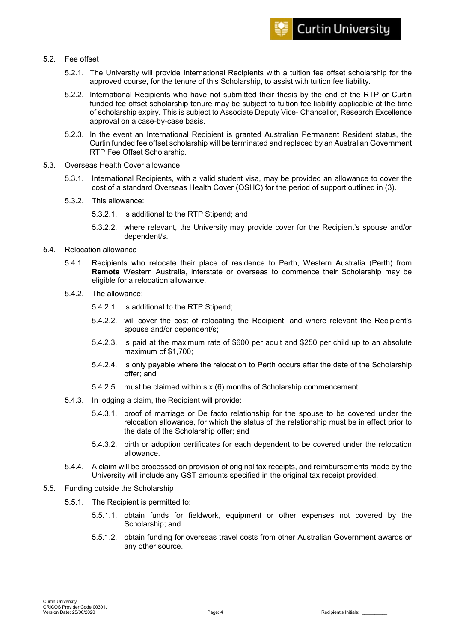## 5.2. Fee offset

- 5.2.1. The University will provide International Recipients with a tuition fee offset scholarship for the approved course, for the tenure of this Scholarship, to assist with tuition fee liability.
- 5.2.2. International Recipients who have not submitted their thesis by the end of the RTP or Curtin funded fee offset scholarship tenure may be subject to tuition fee liability applicable at the time of scholarship expiry. This is subject to Associate Deputy Vice- Chancellor, Research Excellence approval on a case-by-case basis.
- 5.2.3. In the event an International Recipient is granted Australian Permanent Resident status, the Curtin funded fee offset scholarship will be terminated and replaced by an Australian Government RTP Fee Offset Scholarship.
- 5.3. Overseas Health Cover allowance
	- 5.3.1. International Recipients, with a valid student visa, may be provided an allowance to cover the cost of a standard Overseas Health Cover (OSHC) for the period of support outlined in (3).
	- 5.3.2. This allowance:
		- 5.3.2.1. is additional to the RTP Stipend; and
		- 5.3.2.2. where relevant, the University may provide cover for the Recipient's spouse and/or dependent/s.
- 5.4. Relocation allowance
	- 5.4.1. Recipients who relocate their place of residence to Perth, Western Australia (Perth) from **Remote** Western Australia, interstate or overseas to commence their Scholarship may be eligible for a relocation allowance.
	- 5.4.2. The allowance:
		- 5.4.2.1. is additional to the RTP Stipend;
		- 5.4.2.2. will cover the cost of relocating the Recipient, and where relevant the Recipient's spouse and/or dependent/s;
		- 5.4.2.3. is paid at the maximum rate of \$600 per adult and \$250 per child up to an absolute maximum of \$1,700;
		- 5.4.2.4. is only payable where the relocation to Perth occurs after the date of the Scholarship offer; and
		- 5.4.2.5. must be claimed within six (6) months of Scholarship commencement.
	- 5.4.3. In lodging a claim, the Recipient will provide:
		- 5.4.3.1. proof of marriage or De facto relationship for the spouse to be covered under the relocation allowance, for which the status of the relationship must be in effect prior to the date of the Scholarship offer; and
		- 5.4.3.2. birth or adoption certificates for each dependent to be covered under the relocation allowance.
	- 5.4.4. A claim will be processed on provision of original tax receipts, and reimbursements made by the University will include any GST amounts specified in the original tax receipt provided.
- 5.5. Funding outside the Scholarship
	- 5.5.1. The Recipient is permitted to:
		- 5.5.1.1. obtain funds for fieldwork, equipment or other expenses not covered by the Scholarship; and
		- 5.5.1.2. obtain funding for overseas travel costs from other Australian Government awards or any other source.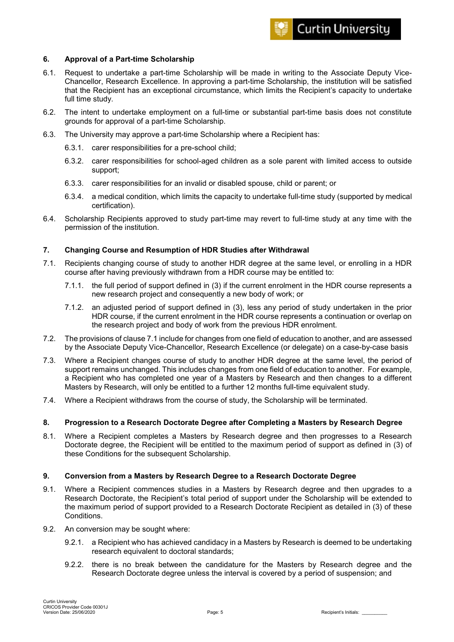

## **6. Approval of a Part-time Scholarship**

- 6.1. Request to undertake a part-time Scholarship will be made in writing to the Associate Deputy Vice-Chancellor, Research Excellence. In approving a part-time Scholarship, the institution will be satisfied that the Recipient has an exceptional circumstance, which limits the Recipient's capacity to undertake full time study.
- 6.2. The intent to undertake employment on a full-time or substantial part-time basis does not constitute grounds for approval of a part-time Scholarship.
- 6.3. The University may approve a part-time Scholarship where a Recipient has:
	- 6.3.1. carer responsibilities for a pre-school child;
	- 6.3.2. carer responsibilities for school-aged children as a sole parent with limited access to outside support;
	- 6.3.3. carer responsibilities for an invalid or disabled spouse, child or parent; or
	- 6.3.4. a medical condition, which limits the capacity to undertake full-time study (supported by medical certification).
- 6.4. Scholarship Recipients approved to study part-time may revert to full-time study at any time with the permission of the institution.

#### **7. Changing Course and Resumption of HDR Studies after Withdrawal**

- 7.1. Recipients changing course of study to another HDR degree at the same level, or enrolling in a HDR course after having previously withdrawn from a HDR course may be entitled to:
	- 7.1.1. the full period of support defined in (3) if the current enrolment in the HDR course represents a new research project and consequently a new body of work; or
	- 7.1.2. an adjusted period of support defined in (3), less any period of study undertaken in the prior HDR course, if the current enrolment in the HDR course represents a continuation or overlap on the research project and body of work from the previous HDR enrolment.
- 7.2. The provisions of clause 7.1 include for changes from one field of education to another, and are assessed by the Associate Deputy Vice-Chancellor, Research Excellence (or delegate) on a case-by-case basis
- 7.3. Where a Recipient changes course of study to another HDR degree at the same level, the period of support remains unchanged. This includes changes from one field of education to another. For example, a Recipient who has completed one year of a Masters by Research and then changes to a different Masters by Research, will only be entitled to a further 12 months full-time equivalent study.
- 7.4. Where a Recipient withdraws from the course of study, the Scholarship will be terminated.

## **8. Progression to a Research Doctorate Degree after Completing a Masters by Research Degree**

8.1. Where a Recipient completes a Masters by Research degree and then progresses to a Research Doctorate degree, the Recipient will be entitled to the maximum period of support as defined in (3) of these Conditions for the subsequent Scholarship.

#### **9. Conversion from a Masters by Research Degree to a Research Doctorate Degree**

- 9.1. Where a Recipient commences studies in a Masters by Research degree and then upgrades to a Research Doctorate, the Recipient's total period of support under the Scholarship will be extended to the maximum period of support provided to a Research Doctorate Recipient as detailed in (3) of these Conditions.
- 9.2. An conversion may be sought where:
	- 9.2.1. a Recipient who has achieved candidacy in a Masters by Research is deemed to be undertaking research equivalent to doctoral standards;
	- 9.2.2. there is no break between the candidature for the Masters by Research degree and the Research Doctorate degree unless the interval is covered by a period of suspension; and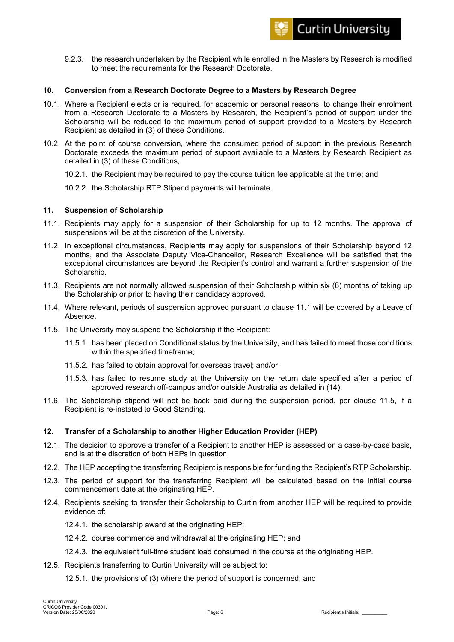9.2.3. the research undertaken by the Recipient while enrolled in the Masters by Research is modified to meet the requirements for the Research Doctorate.

## **10. Conversion from a Research Doctorate Degree to a Masters by Research Degree**

- 10.1. Where a Recipient elects or is required, for academic or personal reasons, to change their enrolment from a Research Doctorate to a Masters by Research, the Recipient's period of support under the Scholarship will be reduced to the maximum period of support provided to a Masters by Research Recipient as detailed in (3) of these Conditions.
- 10.2. At the point of course conversion, where the consumed period of support in the previous Research Doctorate exceeds the maximum period of support available to a Masters by Research Recipient as detailed in (3) of these Conditions,
	- 10.2.1. the Recipient may be required to pay the course tuition fee applicable at the time; and
	- 10.2.2. the Scholarship RTP Stipend payments will terminate.

#### **11. Suspension of Scholarship**

- 11.1. Recipients may apply for a suspension of their Scholarship for up to 12 months. The approval of suspensions will be at the discretion of the University.
- 11.2. In exceptional circumstances, Recipients may apply for suspensions of their Scholarship beyond 12 months, and the Associate Deputy Vice-Chancellor, Research Excellence will be satisfied that the exceptional circumstances are beyond the Recipient's control and warrant a further suspension of the Scholarship.
- 11.3. Recipients are not normally allowed suspension of their Scholarship within six (6) months of taking up the Scholarship or prior to having their candidacy approved.
- 11.4. Where relevant, periods of suspension approved pursuant to clause 11.1 will be covered by a Leave of Absence.
- 11.5. The University may suspend the Scholarship if the Recipient:
	- 11.5.1. has been placed on Conditional status by the University, and has failed to meet those conditions within the specified timeframe;
	- 11.5.2. has failed to obtain approval for overseas travel; and/or
	- 11.5.3. has failed to resume study at the University on the return date specified after a period of approved research off-campus and/or outside Australia as detailed in (14).
- 11.6. The Scholarship stipend will not be back paid during the suspension period, per clause 11.5, if a Recipient is re-instated to Good Standing.

#### **12. Transfer of a Scholarship to another Higher Education Provider (HEP)**

- 12.1. The decision to approve a transfer of a Recipient to another HEP is assessed on a case-by-case basis, and is at the discretion of both HEPs in question.
- 12.2. The HEP accepting the transferring Recipient is responsible for funding the Recipient's RTP Scholarship.
- 12.3. The period of support for the transferring Recipient will be calculated based on the initial course commencement date at the originating HEP.
- 12.4. Recipients seeking to transfer their Scholarship to Curtin from another HEP will be required to provide evidence of:
	- 12.4.1. the scholarship award at the originating HEP;
	- 12.4.2. course commence and withdrawal at the originating HEP; and
	- 12.4.3. the equivalent full-time student load consumed in the course at the originating HEP.
- 12.5. Recipients transferring to Curtin University will be subject to:
	- 12.5.1. the provisions of (3) where the period of support is concerned; and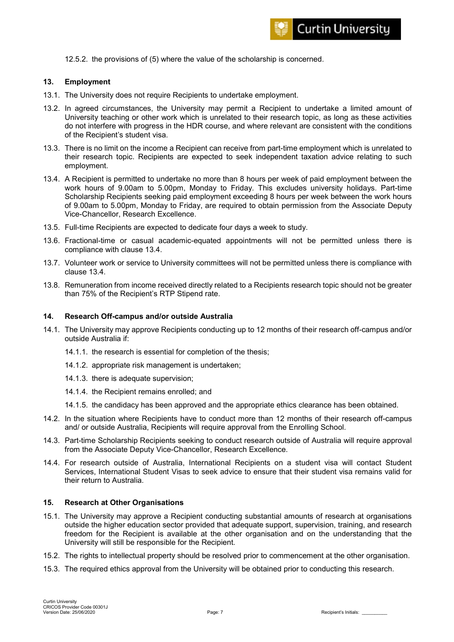12.5.2. the provisions of (5) where the value of the scholarship is concerned.

#### **13. Employment**

- 13.1. The University does not require Recipients to undertake employment.
- 13.2. In agreed circumstances, the University may permit a Recipient to undertake a limited amount of University teaching or other work which is unrelated to their research topic, as long as these activities do not interfere with progress in the HDR course, and where relevant are consistent with the conditions of the Recipient's student visa.
- 13.3. There is no limit on the income a Recipient can receive from part-time employment which is unrelated to their research topic. Recipients are expected to seek independent taxation advice relating to such employment.
- 13.4. A Recipient is permitted to undertake no more than 8 hours per week of paid employment between the work hours of 9.00am to 5.00pm, Monday to Friday. This excludes university holidays. Part-time Scholarship Recipients seeking paid employment exceeding 8 hours per week between the work hours of 9.00am to 5.00pm, Monday to Friday, are required to obtain permission from the Associate Deputy Vice-Chancellor, Research Excellence.
- 13.5. Full-time Recipients are expected to dedicate four days a week to study.
- 13.6. Fractional-time or casual academic-equated appointments will not be permitted unless there is compliance with clause 13.4.
- 13.7. Volunteer work or service to University committees will not be permitted unless there is compliance with clause 13.4.
- 13.8. Remuneration from income received directly related to a Recipients research topic should not be greater than 75% of the Recipient's RTP Stipend rate.

#### **14. Research Off-campus and/or outside Australia**

- 14.1. The University may approve Recipients conducting up to 12 months of their research off-campus and/or outside Australia if:
	- 14.1.1. the research is essential for completion of the thesis;
	- 14.1.2. appropriate risk management is undertaken;
	- 14.1.3. there is adequate supervision;
	- 14.1.4. the Recipient remains enrolled; and
	- 14.1.5. the candidacy has been approved and the appropriate ethics clearance has been obtained.
- 14.2. In the situation where Recipients have to conduct more than 12 months of their research off-campus and/ or outside Australia, Recipients will require approval from the Enrolling School.
- 14.3. Part-time Scholarship Recipients seeking to conduct research outside of Australia will require approval from the Associate Deputy Vice-Chancellor, Research Excellence.
- 14.4. For research outside of Australia, International Recipients on a student visa will contact Student Services, International Student Visas to seek advice to ensure that their student visa remains valid for their return to Australia.

#### **15. Research at Other Organisations**

- 15.1. The University may approve a Recipient conducting substantial amounts of research at organisations outside the higher education sector provided that adequate support, supervision, training, and research freedom for the Recipient is available at the other organisation and on the understanding that the University will still be responsible for the Recipient.
- 15.2. The rights to intellectual property should be resolved prior to commencement at the other organisation.
- 15.3. The required ethics approval from the University will be obtained prior to conducting this research.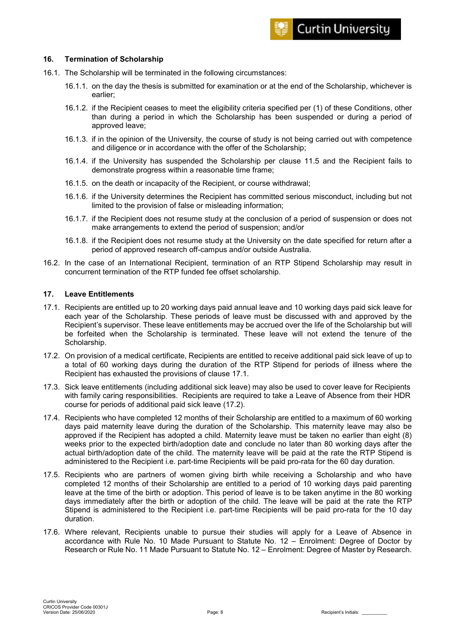### **16. Termination of Scholarship**

- 16.1. The Scholarship will be terminated in the following circumstances:
	- 16.1.1. on the day the thesis is submitted for examination or at the end of the Scholarship, whichever is earlier;
	- 16.1.2. if the Recipient ceases to meet the eligibility criteria specified per (1) of these Conditions, other than during a period in which the Scholarship has been suspended or during a period of approved leave;
	- 16.1.3. if in the opinion of the University, the course of study is not being carried out with competence and diligence or in accordance with the offer of the Scholarship;
	- 16.1.4. if the University has suspended the Scholarship per clause 11.5 and the Recipient fails to demonstrate progress within a reasonable time frame;
	- 16.1.5. on the death or incapacity of the Recipient, or course withdrawal;
	- 16.1.6. if the University determines the Recipient has committed serious misconduct, including but not limited to the provision of false or misleading information;
	- 16.1.7. if the Recipient does not resume study at the conclusion of a period of suspension or does not make arrangements to extend the period of suspension; and/or
	- 16.1.8. if the Recipient does not resume study at the University on the date specified for return after a period of approved research off-campus and/or outside Australia.
- 16.2. In the case of an International Recipient, termination of an RTP Stipend Scholarship may result in concurrent termination of the RTP funded fee offset scholarship.

#### **17. Leave Entitlements**

- 17.1. Recipients are entitled up to 20 working days paid annual leave and 10 working days paid sick leave for each year of the Scholarship. These periods of leave must be discussed with and approved by the Recipient's supervisor. These leave entitlements may be accrued over the life of the Scholarship but will be forfeited when the Scholarship is terminated. These leave will not extend the tenure of the Scholarship.
- 17.2. On provision of a medical certificate, Recipients are entitled to receive additional paid sick leave of up to a total of 60 working days during the duration of the RTP Stipend for periods of illness where the Recipient has exhausted the provisions of clause 17.1.
- 17.3. Sick leave entitlements (including additional sick leave) may also be used to cover leave for Recipients with family caring responsibilities. Recipients are required to take a Leave of Absence from their HDR course for periods of additional paid sick leave (17.2).
- 17.4. Recipients who have completed 12 months of their Scholarship are entitled to a maximum of 60 working days paid maternity leave during the duration of the Scholarship. This maternity leave may also be approved if the Recipient has adopted a child. Maternity leave must be taken no earlier than eight (8) weeks prior to the expected birth/adoption date and conclude no later than 80 working days after the actual birth/adoption date of the child. The maternity leave will be paid at the rate the RTP Stipend is administered to the Recipient i.e. part-time Recipients will be paid pro-rata for the 60 day duration.
- 17.5. Recipients who are partners of women giving birth while receiving a Scholarship and who have completed 12 months of their Scholarship are entitled to a period of 10 working days paid parenting leave at the time of the birth or adoption. This period of leave is to be taken anytime in the 80 working days immediately after the birth or adoption of the child. The leave will be paid at the rate the RTP Stipend is administered to the Recipient i.e. part-time Recipients will be paid pro-rata for the 10 day duration.
- 17.6. Where relevant, Recipients unable to pursue their studies will apply for a Leave of Absence in accordance with Rule No. 10 Made Pursuant to Statute No. 12 – Enrolment: Degree of Doctor by Research or Rule No. 11 Made Pursuant to Statute No. 12 – Enrolment: Degree of Master by Research.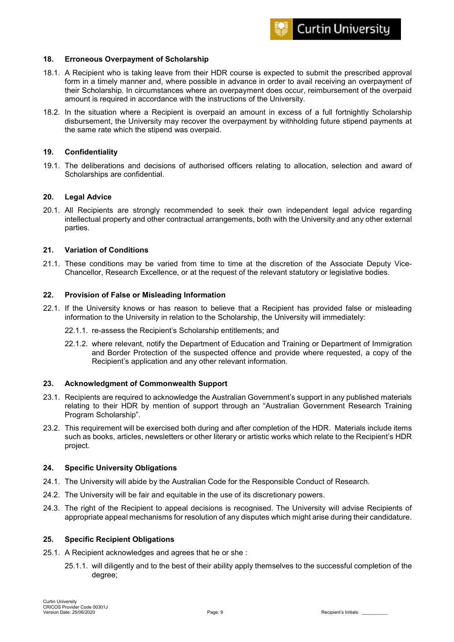

### **18. Erroneous Overpayment of Scholarship**

- 18.1. A Recipient who is taking leave from their HDR course is expected to submit the prescribed approval form in a timely manner and, where possible in advance in order to avail receiving an overpayment of their Scholarship. In circumstances where an overpayment does occur, reimbursement of the overpaid amount is required in accordance with the instructions of the University.
- 18.2. In the situation where a Recipient is overpaid an amount in excess of a full fortnightly Scholarship disbursement, the University may recover the overpayment by withholding future stipend payments at the same rate which the stipend was overpaid.

#### **19. Confidentiality**

19.1. The deliberations and decisions of authorised officers relating to allocation, selection and award of Scholarships are confidential.

#### **20. Legal Advice**

20.1. All Recipients are strongly recommended to seek their own independent legal advice regarding intellectual property and other contractual arrangements, both with the University and any other external parties.

#### **21. Variation of Conditions**

21.1. These conditions may be varied from time to time at the discretion of the Associate Deputy Vice-Chancellor, Research Excellence, or at the request of the relevant statutory or legislative bodies.

#### **22. Provision of False or Misleading Information**

- 22.1. If the University knows or has reason to believe that a Recipient has provided false or misleading information to the University in relation to the Scholarship, the University will immediately:
	- 22.1.1. re-assess the Recipient's Scholarship entitlements; and
	- 22.1.2. where relevant, notify the Department of Education and Training or Department of Immigration and Border Protection of the suspected offence and provide where requested, a copy of the Recipient's application and any other relevant information.

#### **23. Acknowledgment of Commonwealth Support**

- 23.1. Recipients are required to acknowledge the Australian Government's support in any published materials relating to their HDR by mention of support through an "Australian Government Research Training Program Scholarship".
- 23.2. This requirement will be exercised both during and after completion of the HDR. Materials include items such as books, articles, newsletters or other literary or artistic works which relate to the Recipient's HDR project.

## **24. Specific University Obligations**

- 24.1. The University will abide by the Australian Code for the Responsible Conduct of Research.
- 24.2. The University will be fair and equitable in the use of its discretionary powers.
- 24.3. The right of the Recipient to appeal decisions is recognised. The University will advise Recipients of appropriate appeal mechanisms for resolution of any disputes which might arise during their candidature.

#### **25. Specific Recipient Obligations**

- 25.1. A Recipient acknowledges and agrees that he or she :
	- 25.1.1. will diligently and to the best of their ability apply themselves to the successful completion of the degree;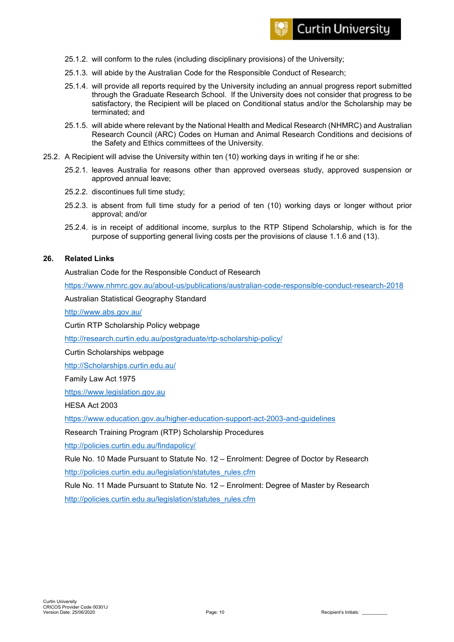- 25.1.2. will conform to the rules (including disciplinary provisions) of the University;
- 25.1.3. will abide by the Australian Code for the Responsible Conduct of Research;
- 25.1.4. will provide all reports required by the University including an annual progress report submitted through the Graduate Research School. If the University does not consider that progress to be satisfactory, the Recipient will be placed on Conditional status and/or the Scholarship may be terminated; and
- 25.1.5. will abide where relevant by the National Health and Medical Research (NHMRC) and Australian Research Council (ARC) Codes on Human and Animal Research Conditions and decisions of the Safety and Ethics committees of the University.
- 25.2. A Recipient will advise the University within ten (10) working days in writing if he or she:
	- 25.2.1. leaves Australia for reasons other than approved overseas study, approved suspension or approved annual leave;
	- 25.2.2. discontinues full time study;
	- 25.2.3. is absent from full time study for a period of ten (10) working days or longer without prior approval; and/or
	- 25.2.4. is in receipt of additional income, surplus to the RTP Stipend Scholarship, which is for the purpose of supporting general living costs per the provisions of clause 1.1.6 and (13).

#### **26. Related Links**

#### Australian Code for the Responsible Conduct of Research

<https://www.nhmrc.gov.au/about-us/publications/australian-code-responsible-conduct-research-2018>

Australian Statistical Geography Standard

<http://www.abs.gov.au/>

Curtin RTP Scholarship Policy webpage

<http://research.curtin.edu.au/postgraduate/rtp-scholarship-policy/>

Curtin Scholarships webpage

[http://Scholarships.curtin.edu.au/](http://scholarships.curtin.edu.au/)

Family Law Act 1975

[https://www.legislation.gov.au](https://www.legislation.gov.au/)

HESA Act 2003

<https://www.education.gov.au/higher-education-support-act-2003-and-guidelines>

Research Training Program (RTP) Scholarship Procedures

<http://policies.curtin.edu.au/findapolicy/>

Rule No. 10 Made Pursuant to Statute No. 12 – Enrolment: Degree of Doctor by Research [http://policies.curtin.edu.au/legislation/statutes\\_rules.cfm](http://policies.curtin.edu.au/legislation/statutes_rules.cfm)

Rule No. 11 Made Pursuant to Statute No. 12 – Enrolment: Degree of Master by Research [http://policies.curtin.edu.au/legislation/statutes\\_rules.cfm](http://policies.curtin.edu.au/legislation/statutes_rules.cfm)